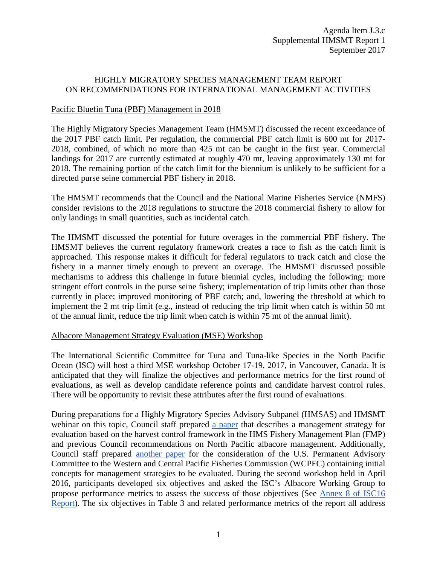## HIGHLY MIGRATORY SPECIES MANAGEMENT TEAM REPORT ON RECOMMENDATIONS FOR INTERNATIONAL MANAGEMENT ACTIVITIES

## Pacific Bluefin Tuna (PBF) Management in 2018

The Highly Migratory Species Management Team (HMSMT) discussed the recent exceedance of the 2017 PBF catch limit. Per regulation, the commercial PBF catch limit is 600 mt for 2017- 2018, combined, of which no more than 425 mt can be caught in the first year. Commercial landings for 2017 are currently estimated at roughly 470 mt, leaving approximately 130 mt for 2018. The remaining portion of the catch limit for the biennium is unlikely to be sufficient for a directed purse seine commercial PBF fishery in 2018.

The HMSMT recommends that the Council and the National Marine Fisheries Service (NMFS) consider revisions to the 2018 regulations to structure the 2018 commercial fishery to allow for only landings in small quantities, such as incidental catch.

The HMSMT discussed the potential for future overages in the commercial PBF fishery. The HMSMT believes the current regulatory framework creates a race to fish as the catch limit is approached. This response makes it difficult for federal regulators to track catch and close the fishery in a manner timely enough to prevent an overage. The HMSMT discussed possible mechanisms to address this challenge in future biennial cycles, including the following: more stringent effort controls in the purse seine fishery; implementation of trip limits other than those currently in place; improved monitoring of PBF catch; and, lowering the threshold at which to implement the 2 mt trip limit (e.g., instead of reducing the trip limit when catch is within 50 mt of the annual limit, reduce the trip limit when catch is within 75 mt of the annual limit).

## Albacore Management Strategy Evaluation (MSE) Workshop

The International Scientific Committee for Tuna and Tuna-like Species in the North Pacific Ocean (ISC) will host a third MSE workshop October 17-19, 2017, in Vancouver, Canada. It is anticipated that they will finalize the objectives and performance metrics for the first round of evaluations, as well as develop candidate reference points and candidate harvest control rules. There will be opportunity to revisit these attributes after the first round of evaluations.

During preparations for a Highly Migratory Species Advisory Subpanel (HMSAS) and HMSMT webinar on this topic, Council staff prepared [a paper](http://www.pcouncil.org/wp-content/uploads/2015/10/NPALB_MSE_HMS_FMP.pdf) that describes a management strategy for evaluation based on the harvest control framework in the HMS Fishery Management Plan (FMP) and previous Council recommendations on North Pacific albacore management. Additionally, Council staff prepared [another paper](http://www.pcouncil.org/wp-content/uploads/2015/10/PFMC_Initial_Concepts_for_NPALB_PAC.pdf) for the consideration of the U.S. Permanent Advisory Committee to the Western and Central Pacific Fisheries Commission (WCPFC) containing initial concepts for management strategies to be evaluated. During the second workshop held in April 2016, participants developed six objectives and asked the ISC's Albacore Working Group to propose performance metrics to assess the success of those objectives (See [Annex 8 of ISC16](http://isc.fra.go.jp/pdf/ISC16/ISC16_Annex_08_Report_of_the_ALBWG(Apr2016).pdf)  [Report\)](http://isc.fra.go.jp/pdf/ISC16/ISC16_Annex_08_Report_of_the_ALBWG(Apr2016).pdf). The six objectives in Table 3 and related performance metrics of the report all address